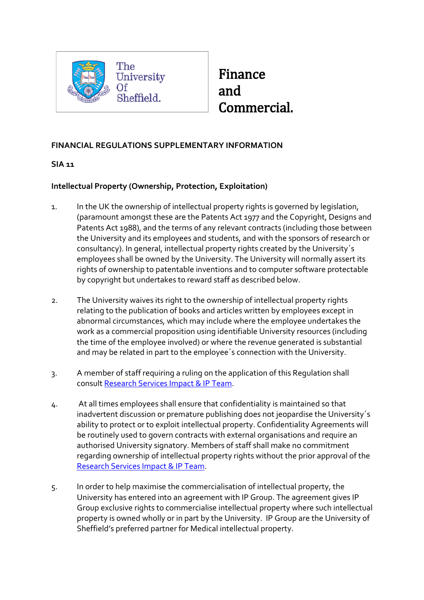

## Finance and Commercial.

## **FINANCIAL REGULATIONS SUPPLEMENTARY INFORMATION**

## **SIA 11**

## **Intellectual Property (Ownership, Protection, Exploitation)**

- 1. In the UK the ownership of intellectual property rights is governed by legislation, (paramount amongst these are the Patents Act 1977 and the Copyright, Designs and Patents Act 1988), and the terms of any relevant contracts (including those between the University and its employees and students, and with the sponsors of research or consultancy). In general, intellectual property rights created by the University´s employees shall be owned by the University. The University will normally assert its rights of ownership to patentable inventions and to computer software protectable by copyright but undertakes to reward staff as described below.
- 2. The University waives its right to the ownership of intellectual property rights relating to the publication of books and articles written by employees except in abnormal circumstances, which may include where the employee undertakes the work as a commercial proposition using identifiable University resources (including the time of the employee involved) or where the revenue generated is substantial and may be related in part to the employee´s connection with the University.
- 3. A member of staff requiring a ruling on the application of this Regulation shall consult [Research Services Impact & IP Team.](https://www.sheffield.ac.uk/rs/contacts)
- 4. At all times employees shall ensure that confidentiality is maintained so that inadvertent discussion or premature publishing does not jeopardise the University´s ability to protect or to exploit intellectual property. Confidentiality Agreements will be routinely used to govern contracts with external organisations and require an authorised University signatory. Members of staff shall make no commitment regarding ownership of intellectual property rights without the prior approval of the [Research Services Impact & IP Team.](https://www.sheffield.ac.uk/rs/contacts)
- 5. In order to help maximise the commercialisation of intellectual property, the University has entered into an agreement with IP Group. The agreement gives IP Group exclusive rights to commercialise intellectual property where such intellectual property is owned wholly or in part by the University. IP Group are the University of Sheffield's preferred partner for Medical intellectual property.